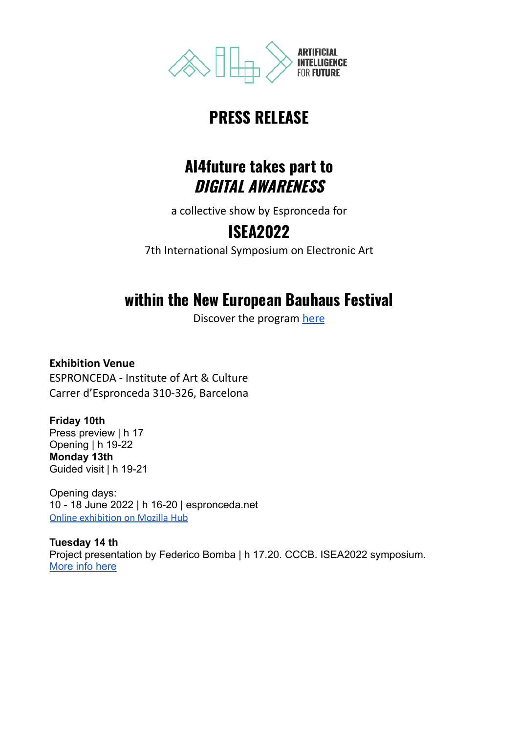

## **PRESS RELEASE**

### **AI4future takes part to DIGITAL AWARENESS**

a collective show by Espronceda for

# **ISEA2022**

7th International Symposium on Electronic Art

# **within the New European Bauhaus Festival**

Discover the program [here](https://europa.eu/new-european-bauhaus/get-involved/festival_en)

**Exhibition Venue** ESPRONCEDA - Institute of Art & Culture Carrer d'Espronceda 310-326, Barcelona

### **Friday 10th**

Press preview | h 17 Opening | h 19-22 **Monday 13th** Guided visit | h 19-21

Opening days: 10 - 18 June 2022 | h 16-20 | espronceda.net [Online exhibition on Mozilla Hub](https://hubs.mozilla.com/LF3tHg9/espronceda-virtual-neb-festival-2022-isea)

**Tuesday 14 th** Project presentation by Federico Bomba | h 17.20. CCCB. ISEA2022 symposium. [More info here](https://isea2022.isea-international.org/event/institutional-presentation-ai4future/)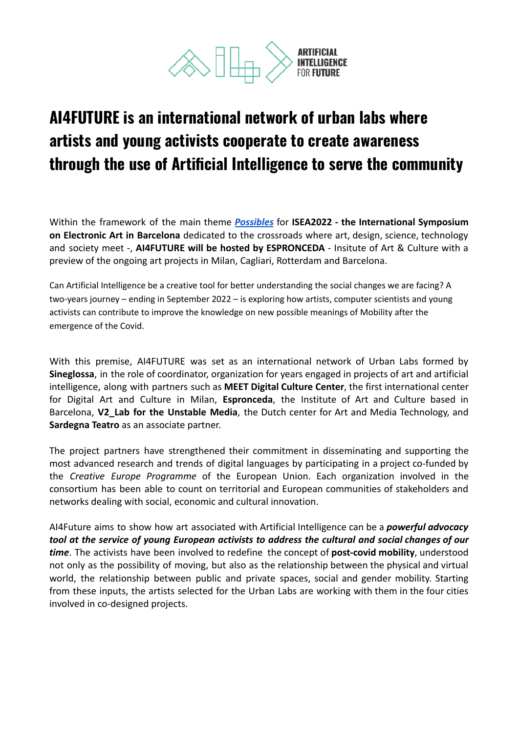

# **AI4FUTURE is an international network of urban labs where artists and young activists cooperate to create awareness through the use of Artificial Intelligence to serve the community**

Within the framework of the main theme *[Possibles](https://isea2022.isea-international.org/themes/)* for **ISEA2022 - the International Symposium on Electronic Art in Barcelona** dedicated to the crossroads where art, design, science, technology and society meet -, **AI4FUTURE will be hosted by ESPRONCEDA** - Insitute of Art & Culture with a preview of the ongoing art projects in Milan, Cagliari, Rotterdam and Barcelona.

Can Artificial Intelligence be a creative tool for better understanding the social changes we are facing? A two-years journey – ending in September 2022 – is exploring how artists, computer scientists and young activists can contribute to improve the knowledge on new possible meanings of Mobility after the emergence of the Covid.

With this premise, AI4FUTURE was set as an international network of Urban Labs formed by **Sineglossa**, in the role of coordinator, organization for years engaged in projects of art and artificial intelligence, along with partners such as **MEET Digital Culture Center**, the first international center for Digital Art and Culture in Milan, **Espronceda**, the Institute of Art and Culture based in Barcelona, **V2\_Lab for the Unstable Media**, the Dutch center for Art and Media Technology, and **Sardegna Teatro** as an associate partner.

The project partners have strengthened their commitment in disseminating and supporting the most advanced research and trends of digital languages by participating in a project co-funded by the *Creative Europe Programme* of the European Union. Each organization involved in the consortium has been able to count on territorial and European communities of stakeholders and networks dealing with social, economic and cultural innovation.

AI4Future aims to show how art associated with Artificial Intelligence can be a *powerful advocacy tool at the service of young European activists to address the cultural and social changes of our time*. The activists have been involved to redefine the concept of **post-covid mobility**, understood not only as the possibility of moving, but also as the relationship between the physical and virtual world, the relationship between public and private spaces, social and gender mobility. Starting from these inputs, the artists selected for the Urban Labs are working with them in the four cities involved in co-designed projects.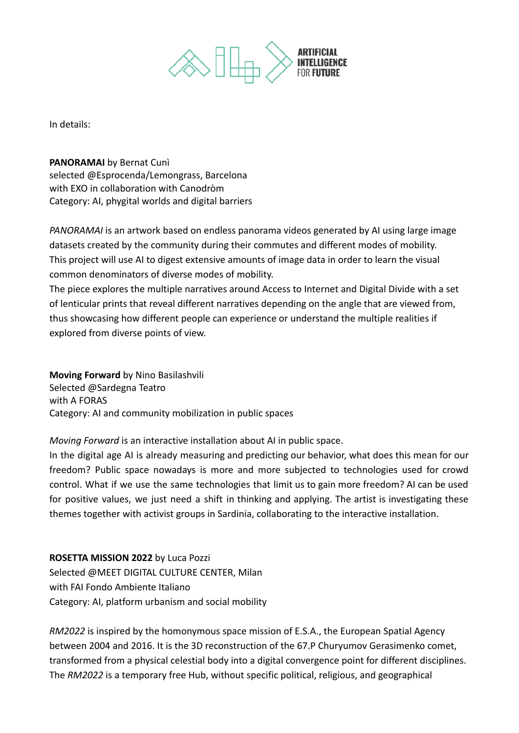

In details:

**PANORAMAI** by Bernat Cunì

selected @Esprocenda/Lemongrass, Barcelona with EXO in collaboration with Canodròm Category: AI, phygital worlds and digital barriers

*PANORAMAI* is an artwork based on endless panorama videos generated by AI using large image datasets created by the community during their commutes and different modes of mobility. This project will use AI to digest extensive amounts of image data in order to learn the visual common denominators of diverse modes of mobility.

The piece explores the multiple narratives around Access to Internet and Digital Divide with a set of lenticular prints that reveal different narratives depending on the angle that are viewed from, thus showcasing how different people can experience or understand the multiple realities if explored from diverse points of view.

**Moving Forward** by Nino Basilashvili Selected @Sardegna Teatro with A FORAS Category: AI and community mobilization in public spaces

*Moving Forward* is an interactive installation about AI in public space.

In the digital age AI is already measuring and predicting our behavior, what does this mean for our freedom? Public space nowadays is more and more subjected to technologies used for crowd control. What if we use the same technologies that limit us to gain more freedom? AI can be used for positive values, we just need a shift in thinking and applying. The artist is investigating these themes together with activist groups in Sardinia, collaborating to the interactive installation.

#### **ROSETTA MISSION 2022** by Luca Pozzi

Selected @MEET DIGITAL CULTURE CENTER, Milan with FAI Fondo Ambiente Italiano Category: AI, platform urbanism and social mobility

*RM2022* is inspired by the homonymous space mission of E.S.A., the European Spatial Agency between 2004 and 2016. It is the 3D reconstruction of the 67.P Churyumov Gerasimenko comet, transformed from a physical celestial body into a digital convergence point for different disciplines. The *RM2022* is a temporary free Hub, without specific political, religious, and geographical